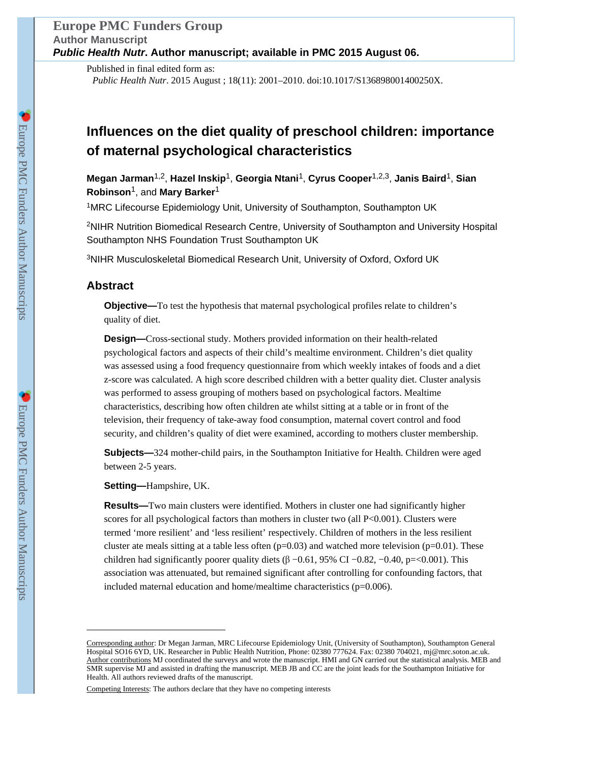Published in final edited form as: *Public Health Nutr*. 2015 August ; 18(11): 2001–2010. doi:10.1017/S136898001400250X.

# **Influences on the diet quality of preschool children: importance of maternal psychological characteristics**

**Megan Jarman**1,2, **Hazel Inskip**1, **Georgia Ntani**1, **Cyrus Cooper**1,2,3, **Janis Baird**1, **Sian Robinson**1, and **Mary Barker**<sup>1</sup>

<sup>1</sup>MRC Lifecourse Epidemiology Unit, University of Southampton, Southampton UK

<sup>2</sup>NIHR Nutrition Biomedical Research Centre, University of Southampton and University Hospital Southampton NHS Foundation Trust Southampton UK

<sup>3</sup>NIHR Musculoskeletal Biomedical Research Unit, University of Oxford, Oxford UK

# **Abstract**

**Objective—**To test the hypothesis that maternal psychological profiles relate to children's quality of diet.

**Design—**Cross-sectional study. Mothers provided information on their health-related psychological factors and aspects of their child's mealtime environment. Children's diet quality was assessed using a food frequency questionnaire from which weekly intakes of foods and a diet z-score was calculated. A high score described children with a better quality diet. Cluster analysis was performed to assess grouping of mothers based on psychological factors. Mealtime characteristics, describing how often children ate whilst sitting at a table or in front of the television, their frequency of take-away food consumption, maternal covert control and food security, and children's quality of diet were examined, according to mothers cluster membership.

**Subjects—**324 mother-child pairs, in the Southampton Initiative for Health. Children were aged between 2-5 years.

**Setting—**Hampshire, UK.

**Results—**Two main clusters were identified. Mothers in cluster one had significantly higher scores for all psychological factors than mothers in cluster two (all  $P<0.001$ ). Clusters were termed 'more resilient' and 'less resilient' respectively. Children of mothers in the less resilient cluster ate meals sitting at a table less often  $(p=0.03)$  and watched more television  $(p=0.01)$ . These children had significantly poorer quality diets ( $\beta$  –0.61, 95% CI –0.82, –0.40, p=<0.001). This association was attenuated, but remained significant after controlling for confounding factors, that included maternal education and home/mealtime characteristics  $(p=0.006)$ .

Corresponding author: Dr Megan Jarman, MRC Lifecourse Epidemiology Unit, (University of Southampton), Southampton General Hospital SO16 6YD, UK. Researcher in Public Health Nutrition, Phone: 02380 777624. Fax: 02380 704021, mj@mrc.soton.ac.uk. Author contributions MJ coordinated the surveys and wrote the manuscript. HMI and GN carried out the statistical analysis. MEB and SMR supervise MJ and assisted in drafting the manuscript. MEB JB and CC are the joint leads for the Southampton Initiative for Health. All authors reviewed drafts of the manuscript.

Competing Interests: The authors declare that they have no competing interests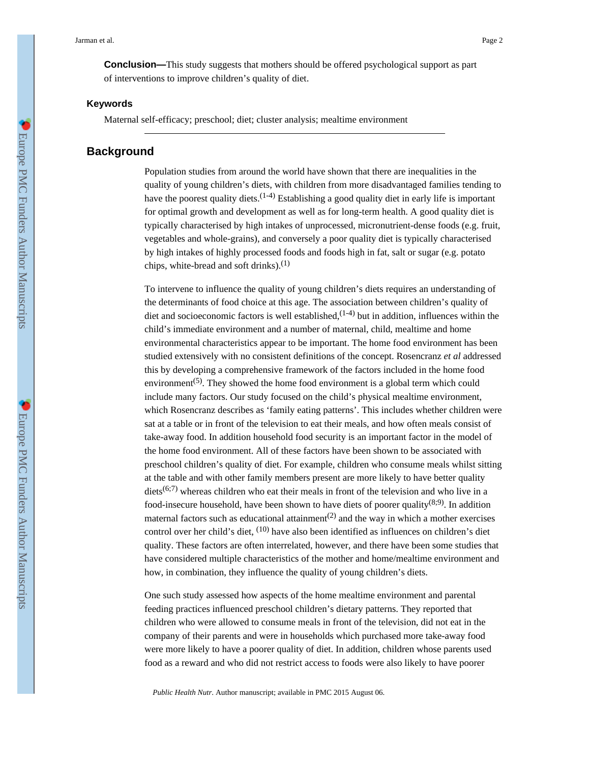**Conclusion—**This study suggests that mothers should be offered psychological support as part of interventions to improve children's quality of diet.

#### **Keywords**

Maternal self-efficacy; preschool; diet; cluster analysis; mealtime environment

# **Background**

Population studies from around the world have shown that there are inequalities in the quality of young children's diets, with children from more disadvantaged families tending to have the poorest quality diets.<sup>(1-4)</sup> Establishing a good quality diet in early life is important for optimal growth and development as well as for long-term health. A good quality diet is typically characterised by high intakes of unprocessed, micronutrient-dense foods (e.g. fruit, vegetables and whole-grains), and conversely a poor quality diet is typically characterised by high intakes of highly processed foods and foods high in fat, salt or sugar (e.g. potato chips, white-bread and soft drinks). $(1)$ 

To intervene to influence the quality of young children's diets requires an understanding of the determinants of food choice at this age. The association between children's quality of diet and socioeconomic factors is well established,  $(1-4)$  but in addition, influences within the child's immediate environment and a number of maternal, child, mealtime and home environmental characteristics appear to be important. The home food environment has been studied extensively with no consistent definitions of the concept. Rosencranz *et al* addressed this by developing a comprehensive framework of the factors included in the home food environment<sup> $(5)$ </sup>. They showed the home food environment is a global term which could include many factors. Our study focused on the child's physical mealtime environment, which Rosencranz describes as 'family eating patterns'. This includes whether children were sat at a table or in front of the television to eat their meals, and how often meals consist of take-away food. In addition household food security is an important factor in the model of the home food environment. All of these factors have been shown to be associated with preschool children's quality of diet. For example, children who consume meals whilst sitting at the table and with other family members present are more likely to have better quality diets<sup>(6;7)</sup> whereas children who eat their meals in front of the television and who live in a food-insecure household, have been shown to have diets of poorer quality  $(8.9)$ . In addition maternal factors such as educational attainment<sup>(2)</sup> and the way in which a mother exercises control over her child's diet, <sup>(10)</sup> have also been identified as influences on children's diet quality. These factors are often interrelated, however, and there have been some studies that have considered multiple characteristics of the mother and home/mealtime environment and how, in combination, they influence the quality of young children's diets.

One such study assessed how aspects of the home mealtime environment and parental feeding practices influenced preschool children's dietary patterns. They reported that children who were allowed to consume meals in front of the television, did not eat in the company of their parents and were in households which purchased more take-away food were more likely to have a poorer quality of diet. In addition, children whose parents used food as a reward and who did not restrict access to foods were also likely to have poorer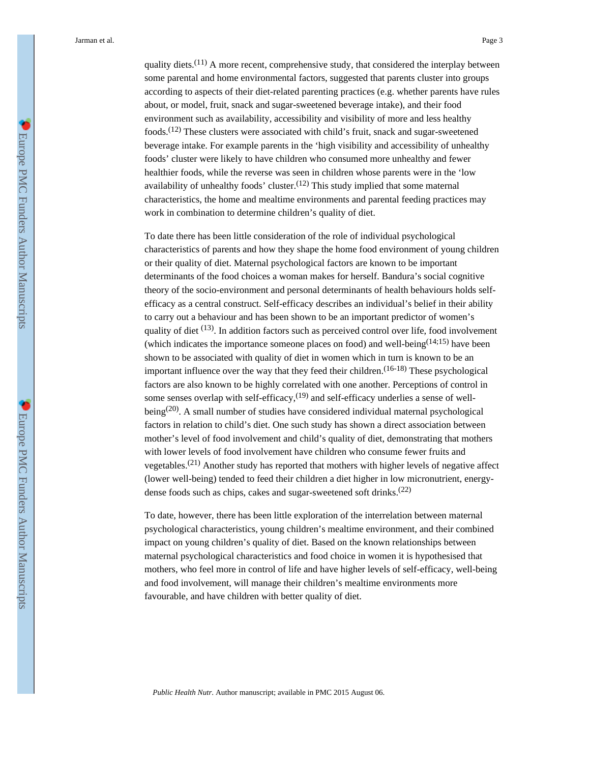quality diets.<sup>(11)</sup> A more recent, comprehensive study, that considered the interplay between some parental and home environmental factors, suggested that parents cluster into groups according to aspects of their diet-related parenting practices (e.g. whether parents have rules about, or model, fruit, snack and sugar-sweetened beverage intake), and their food environment such as availability, accessibility and visibility of more and less healthy foods.(12) These clusters were associated with child's fruit, snack and sugar-sweetened beverage intake. For example parents in the 'high visibility and accessibility of unhealthy foods' cluster were likely to have children who consumed more unhealthy and fewer healthier foods, while the reverse was seen in children whose parents were in the 'low availability of unhealthy foods' cluster.<sup> $(12)$ </sup> This study implied that some maternal characteristics, the home and mealtime environments and parental feeding practices may work in combination to determine children's quality of diet.

To date there has been little consideration of the role of individual psychological characteristics of parents and how they shape the home food environment of young children or their quality of diet. Maternal psychological factors are known to be important determinants of the food choices a woman makes for herself. Bandura's social cognitive theory of the socio-environment and personal determinants of health behaviours holds selfefficacy as a central construct. Self-efficacy describes an individual's belief in their ability to carry out a behaviour and has been shown to be an important predictor of women's quality of diet  $(13)$ . In addition factors such as perceived control over life, food involvement (which indicates the importance someone places on food) and well-being<sup> $(14;15)$ </sup> have been shown to be associated with quality of diet in women which in turn is known to be an important influence over the way that they feed their children.<sup> $(16-18)$ </sup> These psychological factors are also known to be highly correlated with one another. Perceptions of control in some senses overlap with self-efficacy,<sup>(19)</sup> and self-efficacy underlies a sense of wellbeing<sup>(20)</sup>. A small number of studies have considered individual maternal psychological factors in relation to child's diet. One such study has shown a direct association between mother's level of food involvement and child's quality of diet, demonstrating that mothers with lower levels of food involvement have children who consume fewer fruits and vegetables.<sup>(21)</sup> Another study has reported that mothers with higher levels of negative affect (lower well-being) tended to feed their children a diet higher in low micronutrient, energydense foods such as chips, cakes and sugar-sweetened soft drinks.<sup>(22)</sup>

To date, however, there has been little exploration of the interrelation between maternal psychological characteristics, young children's mealtime environment, and their combined impact on young children's quality of diet. Based on the known relationships between maternal psychological characteristics and food choice in women it is hypothesised that mothers, who feel more in control of life and have higher levels of self-efficacy, well-being and food involvement, will manage their children's mealtime environments more favourable, and have children with better quality of diet.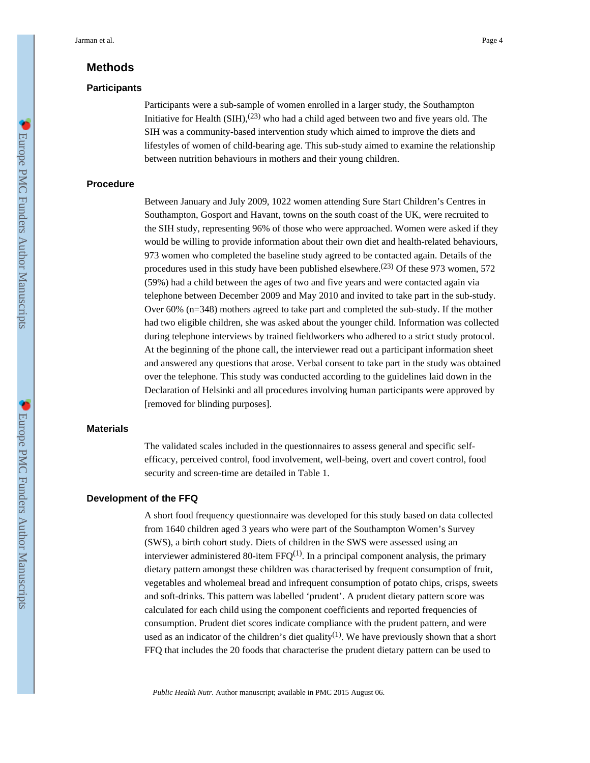# **Methods**

#### **Participants**

Participants were a sub-sample of women enrolled in a larger study, the Southampton Initiative for Health  $(SIH)$ ,<sup>(23)</sup> who had a child aged between two and five years old. The SIH was a community-based intervention study which aimed to improve the diets and lifestyles of women of child-bearing age. This sub-study aimed to examine the relationship between nutrition behaviours in mothers and their young children.

## **Procedure**

Between January and July 2009, 1022 women attending Sure Start Children's Centres in Southampton, Gosport and Havant, towns on the south coast of the UK, were recruited to the SIH study, representing 96% of those who were approached. Women were asked if they would be willing to provide information about their own diet and health-related behaviours, 973 women who completed the baseline study agreed to be contacted again. Details of the procedures used in this study have been published elsewhere.<sup> $(23)$ </sup> Of these 973 women, 572 (59%) had a child between the ages of two and five years and were contacted again via telephone between December 2009 and May 2010 and invited to take part in the sub-study. Over 60% (n=348) mothers agreed to take part and completed the sub-study. If the mother had two eligible children, she was asked about the younger child. Information was collected during telephone interviews by trained fieldworkers who adhered to a strict study protocol. At the beginning of the phone call, the interviewer read out a participant information sheet and answered any questions that arose. Verbal consent to take part in the study was obtained over the telephone. This study was conducted according to the guidelines laid down in the Declaration of Helsinki and all procedures involving human participants were approved by [removed for blinding purposes].

### **Materials**

The validated scales included in the questionnaires to assess general and specific selfefficacy, perceived control, food involvement, well-being, overt and covert control, food security and screen-time are detailed in Table 1.

## **Development of the FFQ**

A short food frequency questionnaire was developed for this study based on data collected from 1640 children aged 3 years who were part of the Southampton Women's Survey (SWS), a birth cohort study. Diets of children in the SWS were assessed using an interviewer administered 80-item FFQ<sup>(1)</sup>. In a principal component analysis, the primary dietary pattern amongst these children was characterised by frequent consumption of fruit, vegetables and wholemeal bread and infrequent consumption of potato chips, crisps, sweets and soft-drinks. This pattern was labelled 'prudent'. A prudent dietary pattern score was calculated for each child using the component coefficients and reported frequencies of consumption. Prudent diet scores indicate compliance with the prudent pattern, and were used as an indicator of the children's diet quality<sup>(1)</sup>. We have previously shown that a short FFQ that includes the 20 foods that characterise the prudent dietary pattern can be used to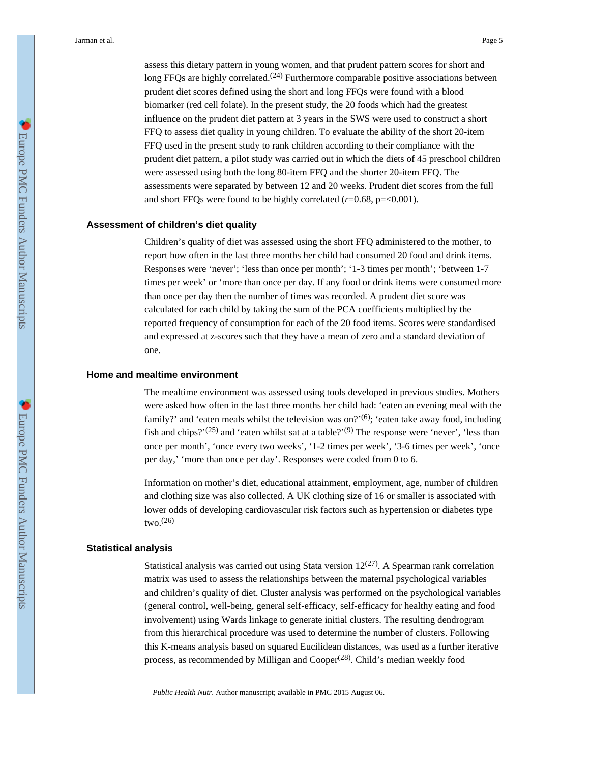assess this dietary pattern in young women, and that prudent pattern scores for short and long FFQs are highly correlated.<sup> $(24)$ </sup> Furthermore comparable positive associations between prudent diet scores defined using the short and long FFQs were found with a blood biomarker (red cell folate). In the present study, the 20 foods which had the greatest influence on the prudent diet pattern at 3 years in the SWS were used to construct a short FFQ to assess diet quality in young children. To evaluate the ability of the short 20-item FFQ used in the present study to rank children according to their compliance with the prudent diet pattern, a pilot study was carried out in which the diets of 45 preschool children were assessed using both the long 80-item FFQ and the shorter 20-item FFQ. The assessments were separated by between 12 and 20 weeks. Prudent diet scores from the full and short FFQs were found to be highly correlated (*r*=0.68, p=<0.001).

## **Assessment of children's diet quality**

Children's quality of diet was assessed using the short FFQ administered to the mother, to report how often in the last three months her child had consumed 20 food and drink items. Responses were 'never'; 'less than once per month'; '1-3 times per month'; 'between 1-7 times per week' or 'more than once per day. If any food or drink items were consumed more than once per day then the number of times was recorded. A prudent diet score was calculated for each child by taking the sum of the PCA coefficients multiplied by the reported frequency of consumption for each of the 20 food items. Scores were standardised and expressed at z-scores such that they have a mean of zero and a standard deviation of one.

#### **Home and mealtime environment**

The mealtime environment was assessed using tools developed in previous studies. Mothers were asked how often in the last three months her child had: 'eaten an evening meal with the family?' and 'eaten meals whilst the television was on?'<sup>(6)</sup>; 'eaten take away food, including fish and chips?'<sup>(25)</sup> and 'eaten whilst sat at a table?'<sup>(9)</sup> The response were 'never', 'less than once per month', 'once every two weeks', '1-2 times per week', '3-6 times per week', 'once per day,' 'more than once per day'. Responses were coded from 0 to 6.

Information on mother's diet, educational attainment, employment, age, number of children and clothing size was also collected. A UK clothing size of 16 or smaller is associated with lower odds of developing cardiovascular risk factors such as hypertension or diabetes type  $two.<sup>(26)</sup>$ 

#### **Statistical analysis**

Statistical analysis was carried out using Stata version  $12^{(27)}$ . A Spearman rank correlation matrix was used to assess the relationships between the maternal psychological variables and children's quality of diet. Cluster analysis was performed on the psychological variables (general control, well-being, general self-efficacy, self-efficacy for healthy eating and food involvement) using Wards linkage to generate initial clusters. The resulting dendrogram from this hierarchical procedure was used to determine the number of clusters. Following this K-means analysis based on squared Eucilidean distances, was used as a further iterative process, as recommended by Milligan and Cooper<sup>(28)</sup>. Child's median weekly food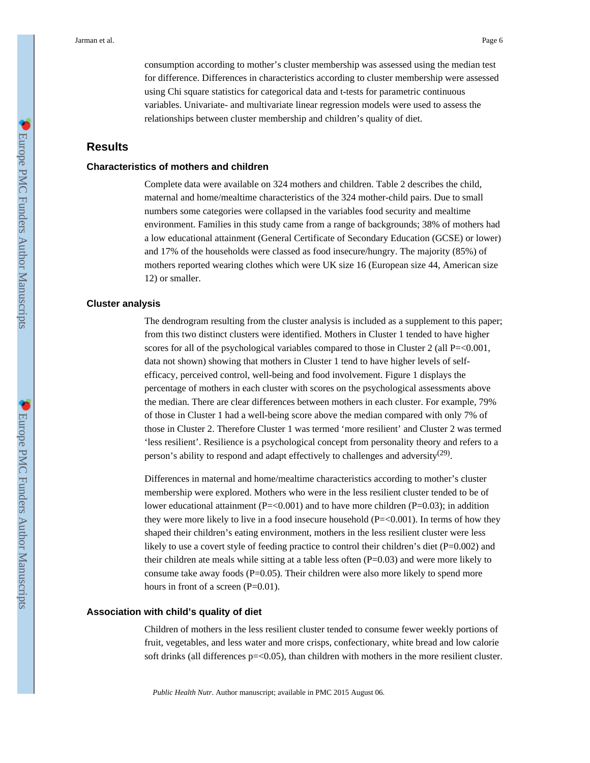consumption according to mother's cluster membership was assessed using the median test for difference. Differences in characteristics according to cluster membership were assessed using Chi square statistics for categorical data and t-tests for parametric continuous variables. Univariate- and multivariate linear regression models were used to assess the relationships between cluster membership and children's quality of diet.

# **Results**

## **Characteristics of mothers and children**

Complete data were available on 324 mothers and children. Table 2 describes the child, maternal and home/mealtime characteristics of the 324 mother-child pairs. Due to small numbers some categories were collapsed in the variables food security and mealtime environment. Families in this study came from a range of backgrounds; 38% of mothers had a low educational attainment (General Certificate of Secondary Education (GCSE) or lower) and 17% of the households were classed as food insecure/hungry. The majority (85%) of mothers reported wearing clothes which were UK size 16 (European size 44, American size 12) or smaller.

### **Cluster analysis**

The dendrogram resulting from the cluster analysis is included as a supplement to this paper; from this two distinct clusters were identified. Mothers in Cluster 1 tended to have higher scores for all of the psychological variables compared to those in Cluster 2 (all  $P = 0.001$ , data not shown) showing that mothers in Cluster 1 tend to have higher levels of selfefficacy, perceived control, well-being and food involvement. Figure 1 displays the percentage of mothers in each cluster with scores on the psychological assessments above the median. There are clear differences between mothers in each cluster. For example, 79% of those in Cluster 1 had a well-being score above the median compared with only 7% of those in Cluster 2. Therefore Cluster 1 was termed 'more resilient' and Cluster 2 was termed 'less resilient'. Resilience is a psychological concept from personality theory and refers to a person's ability to respond and adapt effectively to challenges and adversity<sup>(29)</sup>.

Differences in maternal and home/mealtime characteristics according to mother's cluster membership were explored. Mothers who were in the less resilient cluster tended to be of lower educational attainment  $(P=<0.001)$  and to have more children  $(P=<0.03)$ ; in addition they were more likely to live in a food insecure household  $(P=<0.001)$ . In terms of how they shaped their children's eating environment, mothers in the less resilient cluster were less likely to use a covert style of feeding practice to control their children's diet (P=0.002) and their children ate meals while sitting at a table less often (P=0.03) and were more likely to consume take away foods  $(P=0.05)$ . Their children were also more likely to spend more hours in front of a screen (P=0.01).

#### **Association with child's quality of diet**

Children of mothers in the less resilient cluster tended to consume fewer weekly portions of fruit, vegetables, and less water and more crisps, confectionary, white bread and low calorie soft drinks (all differences  $p = 0.05$ ), than children with mothers in the more resilient cluster.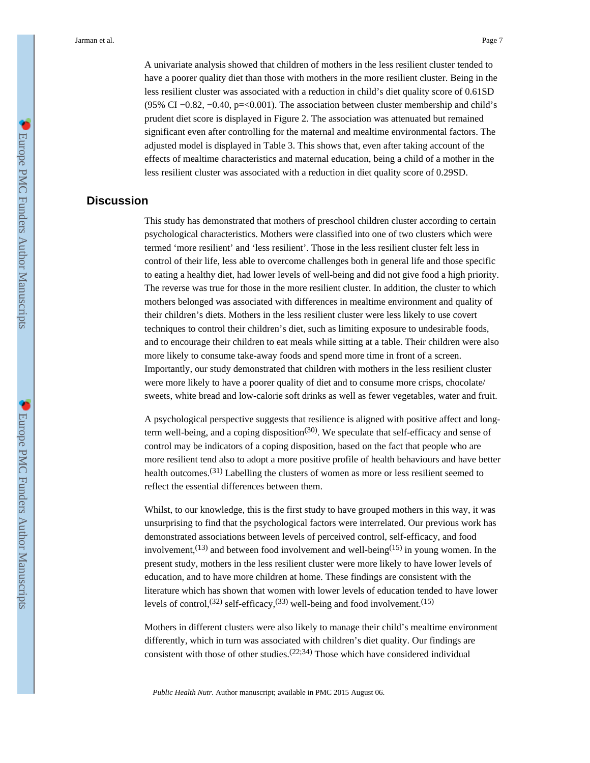A univariate analysis showed that children of mothers in the less resilient cluster tended to have a poorer quality diet than those with mothers in the more resilient cluster. Being in the less resilient cluster was associated with a reduction in child's diet quality score of 0.61SD (95% CI −0.82, −0.40, p=<0.001). The association between cluster membership and child's prudent diet score is displayed in Figure 2. The association was attenuated but remained significant even after controlling for the maternal and mealtime environmental factors. The adjusted model is displayed in Table 3. This shows that, even after taking account of the effects of mealtime characteristics and maternal education, being a child of a mother in the less resilient cluster was associated with a reduction in diet quality score of 0.29SD.

# **Discussion**

This study has demonstrated that mothers of preschool children cluster according to certain psychological characteristics. Mothers were classified into one of two clusters which were termed 'more resilient' and 'less resilient'. Those in the less resilient cluster felt less in control of their life, less able to overcome challenges both in general life and those specific to eating a healthy diet, had lower levels of well-being and did not give food a high priority. The reverse was true for those in the more resilient cluster. In addition, the cluster to which mothers belonged was associated with differences in mealtime environment and quality of their children's diets. Mothers in the less resilient cluster were less likely to use covert techniques to control their children's diet, such as limiting exposure to undesirable foods, and to encourage their children to eat meals while sitting at a table. Their children were also more likely to consume take-away foods and spend more time in front of a screen. Importantly, our study demonstrated that children with mothers in the less resilient cluster were more likely to have a poorer quality of diet and to consume more crisps, chocolate/ sweets, white bread and low-calorie soft drinks as well as fewer vegetables, water and fruit.

A psychological perspective suggests that resilience is aligned with positive affect and longterm well-being, and a coping disposition<sup>(30)</sup>. We speculate that self-efficacy and sense of control may be indicators of a coping disposition, based on the fact that people who are more resilient tend also to adopt a more positive profile of health behaviours and have better health outcomes.<sup>(31)</sup> Labelling the clusters of women as more or less resilient seemed to reflect the essential differences between them.

Whilst, to our knowledge, this is the first study to have grouped mothers in this way, it was unsurprising to find that the psychological factors were interrelated. Our previous work has demonstrated associations between levels of perceived control, self-efficacy, and food involvement,<sup>(13)</sup> and between food involvement and well-being<sup>(15)</sup> in young women. In the present study, mothers in the less resilient cluster were more likely to have lower levels of education, and to have more children at home. These findings are consistent with the literature which has shown that women with lower levels of education tended to have lower levels of control,<sup>(32)</sup> self-efficacy,<sup>(33)</sup> well-being and food involvement.<sup>(15)</sup>

Mothers in different clusters were also likely to manage their child's mealtime environment differently, which in turn was associated with children's diet quality. Our findings are consistent with those of other studies.  $(22,34)$  Those which have considered individual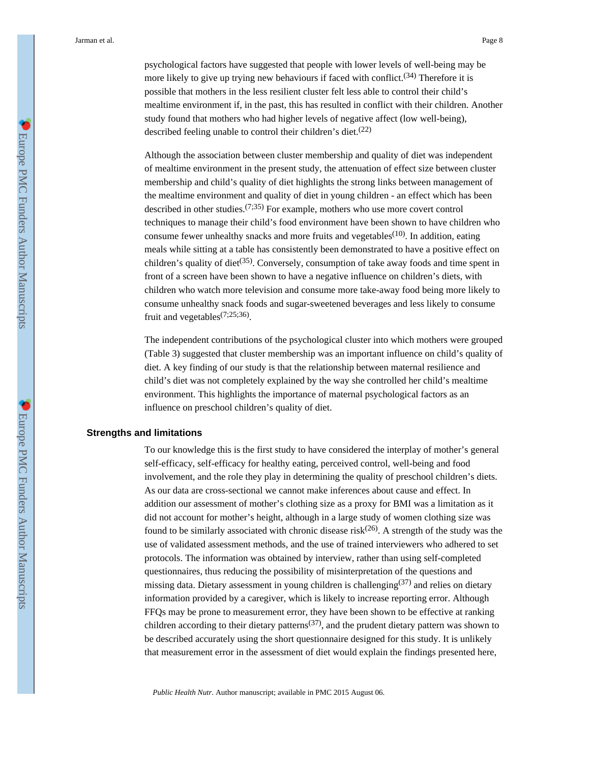psychological factors have suggested that people with lower levels of well-being may be more likely to give up trying new behaviours if faced with conflict.<sup>(34)</sup> Therefore it is possible that mothers in the less resilient cluster felt less able to control their child's mealtime environment if, in the past, this has resulted in conflict with their children. Another study found that mothers who had higher levels of negative affect (low well-being), described feeling unable to control their children's diet.(22)

Although the association between cluster membership and quality of diet was independent of mealtime environment in the present study, the attenuation of effect size between cluster membership and child's quality of diet highlights the strong links between management of the mealtime environment and quality of diet in young children - an effect which has been described in other studies.  $(7,35)$  For example, mothers who use more covert control techniques to manage their child's food environment have been shown to have children who consume fewer unhealthy snacks and more fruits and vegetables<sup> $(10)$ </sup>. In addition, eating meals while sitting at a table has consistently been demonstrated to have a positive effect on children's quality of diet<sup>(35)</sup>. Conversely, consumption of take away foods and time spent in front of a screen have been shown to have a negative influence on children's diets, with children who watch more television and consume more take-away food being more likely to consume unhealthy snack foods and sugar-sweetened beverages and less likely to consume fruit and vegetables<sup>(7;25;36)</sup>.

The independent contributions of the psychological cluster into which mothers were grouped (Table 3) suggested that cluster membership was an important influence on child's quality of diet. A key finding of our study is that the relationship between maternal resilience and child's diet was not completely explained by the way she controlled her child's mealtime environment. This highlights the importance of maternal psychological factors as an influence on preschool children's quality of diet.

## **Strengths and limitations**

To our knowledge this is the first study to have considered the interplay of mother's general self-efficacy, self-efficacy for healthy eating, perceived control, well-being and food involvement, and the role they play in determining the quality of preschool children's diets. As our data are cross-sectional we cannot make inferences about cause and effect. In addition our assessment of mother's clothing size as a proxy for BMI was a limitation as it did not account for mother's height, although in a large study of women clothing size was found to be similarly associated with chronic disease risk<sup> $(26)$ </sup>. A strength of the study was the use of validated assessment methods, and the use of trained interviewers who adhered to set protocols. The information was obtained by interview, rather than using self-completed questionnaires, thus reducing the possibility of misinterpretation of the questions and missing data. Dietary assessment in young children is challenging  $(37)$  and relies on dietary information provided by a caregiver, which is likely to increase reporting error. Although FFQs may be prone to measurement error, they have been shown to be effective at ranking children according to their dietary patterns<sup>(37)</sup>, and the prudent dietary pattern was shown to be described accurately using the short questionnaire designed for this study. It is unlikely that measurement error in the assessment of diet would explain the findings presented here,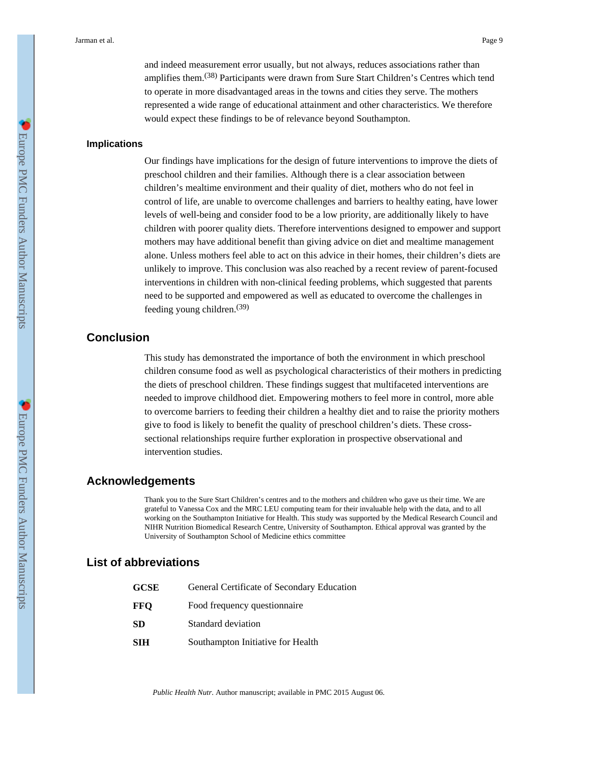and indeed measurement error usually, but not always, reduces associations rather than amplifies them.<sup>(38)</sup> Participants were drawn from Sure Start Children's Centres which tend to operate in more disadvantaged areas in the towns and cities they serve. The mothers represented a wide range of educational attainment and other characteristics. We therefore would expect these findings to be of relevance beyond Southampton.

## **Implications**

Our findings have implications for the design of future interventions to improve the diets of preschool children and their families. Although there is a clear association between children's mealtime environment and their quality of diet, mothers who do not feel in control of life, are unable to overcome challenges and barriers to healthy eating, have lower levels of well-being and consider food to be a low priority, are additionally likely to have children with poorer quality diets. Therefore interventions designed to empower and support mothers may have additional benefit than giving advice on diet and mealtime management alone. Unless mothers feel able to act on this advice in their homes, their children's diets are unlikely to improve. This conclusion was also reached by a recent review of parent-focused interventions in children with non-clinical feeding problems, which suggested that parents need to be supported and empowered as well as educated to overcome the challenges in feeding young children.(39)

# **Conclusion**

This study has demonstrated the importance of both the environment in which preschool children consume food as well as psychological characteristics of their mothers in predicting the diets of preschool children. These findings suggest that multifaceted interventions are needed to improve childhood diet. Empowering mothers to feel more in control, more able to overcome barriers to feeding their children a healthy diet and to raise the priority mothers give to food is likely to benefit the quality of preschool children's diets. These crosssectional relationships require further exploration in prospective observational and intervention studies.

## **Acknowledgements**

Thank you to the Sure Start Children's centres and to the mothers and children who gave us their time. We are grateful to Vanessa Cox and the MRC LEU computing team for their invaluable help with the data, and to all working on the Southampton Initiative for Health. This study was supported by the Medical Research Council and NIHR Nutrition Biomedical Research Centre, University of Southampton. Ethical approval was granted by the University of Southampton School of Medicine ethics committee

## **List of abbreviations**

| GCSE | General Certificate of Secondary Education |
|------|--------------------------------------------|
| FFO  | Food frequency question aire               |
| SD   | Standard deviation                         |
| SIH  | Southampton Initiative for Health          |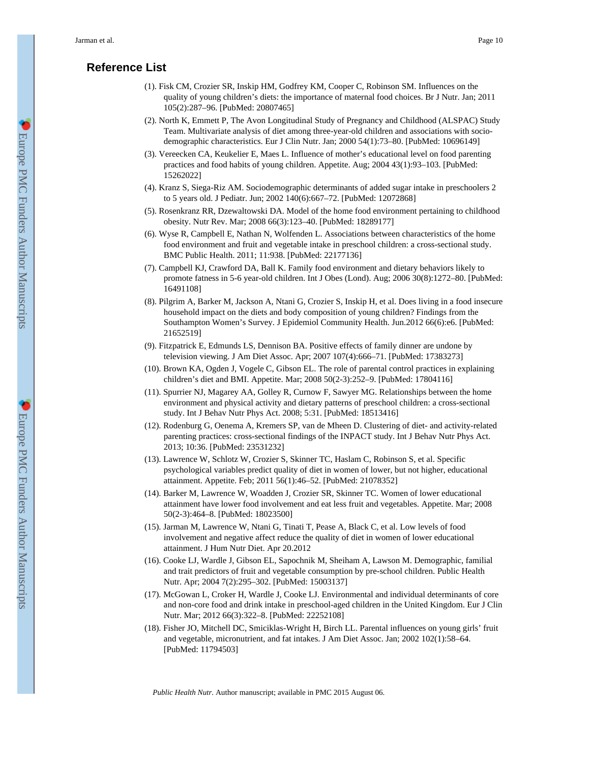# **Reference List**

- (1). Fisk CM, Crozier SR, Inskip HM, Godfrey KM, Cooper C, Robinson SM. Influences on the quality of young children's diets: the importance of maternal food choices. Br J Nutr. Jan; 2011 105(2):287–96. [PubMed: 20807465]
- (2). North K, Emmett P, The Avon Longitudinal Study of Pregnancy and Childhood (ALSPAC) Study Team. Multivariate analysis of diet among three-year-old children and associations with sociodemographic characteristics. Eur J Clin Nutr. Jan; 2000 54(1):73–80. [PubMed: 10696149]
- (3). Vereecken CA, Keukelier E, Maes L. Influence of mother's educational level on food parenting practices and food habits of young children. Appetite. Aug; 2004 43(1):93–103. [PubMed: 15262022]
- (4). Kranz S, Siega-Riz AM. Sociodemographic determinants of added sugar intake in preschoolers 2 to 5 years old. J Pediatr. Jun; 2002 140(6):667–72. [PubMed: 12072868]
- (5). Rosenkranz RR, Dzewaltowski DA. Model of the home food environment pertaining to childhood obesity. Nutr Rev. Mar; 2008 66(3):123–40. [PubMed: 18289177]
- (6). Wyse R, Campbell E, Nathan N, Wolfenden L. Associations between characteristics of the home food environment and fruit and vegetable intake in preschool children: a cross-sectional study. BMC Public Health. 2011; 11:938. [PubMed: 22177136]
- (7). Campbell KJ, Crawford DA, Ball K. Family food environment and dietary behaviors likely to promote fatness in 5-6 year-old children. Int J Obes (Lond). Aug; 2006 30(8):1272–80. [PubMed: 16491108]
- (8). Pilgrim A, Barker M, Jackson A, Ntani G, Crozier S, Inskip H, et al. Does living in a food insecure household impact on the diets and body composition of young children? Findings from the Southampton Women's Survey. J Epidemiol Community Health. Jun.2012 66(6):e6. [PubMed: 21652519]
- (9). Fitzpatrick E, Edmunds LS, Dennison BA. Positive effects of family dinner are undone by television viewing. J Am Diet Assoc. Apr; 2007 107(4):666–71. [PubMed: 17383273]
- (10). Brown KA, Ogden J, Vogele C, Gibson EL. The role of parental control practices in explaining children's diet and BMI. Appetite. Mar; 2008 50(2-3):252–9. [PubMed: 17804116]
- (11). Spurrier NJ, Magarey AA, Golley R, Curnow F, Sawyer MG. Relationships between the home environment and physical activity and dietary patterns of preschool children: a cross-sectional study. Int J Behav Nutr Phys Act. 2008; 5:31. [PubMed: 18513416]
- (12). Rodenburg G, Oenema A, Kremers SP, van de Mheen D. Clustering of diet- and activity-related parenting practices: cross-sectional findings of the INPACT study. Int J Behav Nutr Phys Act. 2013; 10:36. [PubMed: 23531232]
- (13). Lawrence W, Schlotz W, Crozier S, Skinner TC, Haslam C, Robinson S, et al. Specific psychological variables predict quality of diet in women of lower, but not higher, educational attainment. Appetite. Feb; 2011 56(1):46–52. [PubMed: 21078352]
- (14). Barker M, Lawrence W, Woadden J, Crozier SR, Skinner TC. Women of lower educational attainment have lower food involvement and eat less fruit and vegetables. Appetite. Mar; 2008 50(2-3):464–8. [PubMed: 18023500]
- (15). Jarman M, Lawrence W, Ntani G, Tinati T, Pease A, Black C, et al. Low levels of food involvement and negative affect reduce the quality of diet in women of lower educational attainment. J Hum Nutr Diet. Apr 20.2012
- (16). Cooke LJ, Wardle J, Gibson EL, Sapochnik M, Sheiham A, Lawson M. Demographic, familial and trait predictors of fruit and vegetable consumption by pre-school children. Public Health Nutr. Apr; 2004 7(2):295–302. [PubMed: 15003137]
- (17). McGowan L, Croker H, Wardle J, Cooke LJ. Environmental and individual determinants of core and non-core food and drink intake in preschool-aged children in the United Kingdom. Eur J Clin Nutr. Mar; 2012 66(3):322–8. [PubMed: 22252108]
- (18). Fisher JO, Mitchell DC, Smiciklas-Wright H, Birch LL. Parental influences on young girls' fruit and vegetable, micronutrient, and fat intakes. J Am Diet Assoc. Jan; 2002 102(1):58–64. [PubMed: 11794503]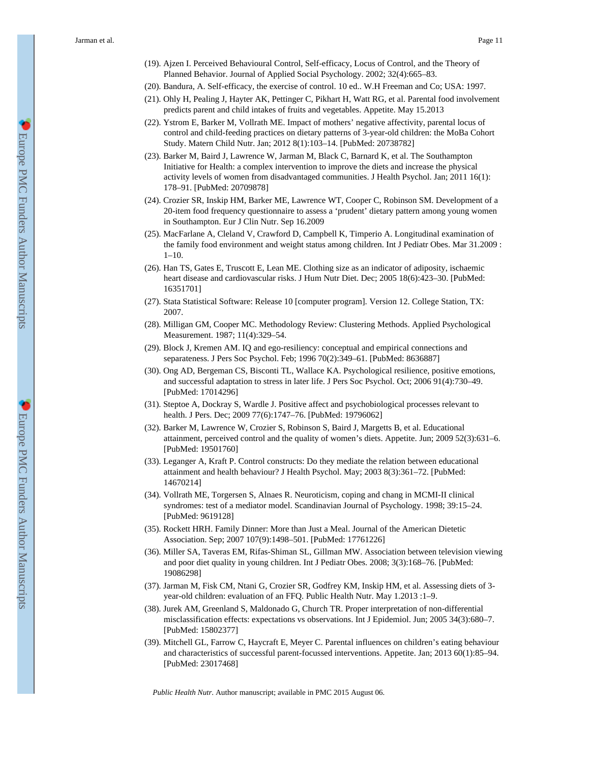- (19). Ajzen I. Perceived Behavioural Control, Self-efficacy, Locus of Control, and the Theory of Planned Behavior. Journal of Applied Social Psychology. 2002; 32(4):665–83.
- (20). Bandura, A. Self-efficacy, the exercise of control. 10 ed.. W.H Freeman and Co; USA: 1997.
- (21). Ohly H, Pealing J, Hayter AK, Pettinger C, Pikhart H, Watt RG, et al. Parental food involvement predicts parent and child intakes of fruits and vegetables. Appetite. May 15.2013
- (22). Ystrom E, Barker M, Vollrath ME. Impact of mothers' negative affectivity, parental locus of control and child-feeding practices on dietary patterns of 3-year-old children: the MoBa Cohort Study. Matern Child Nutr. Jan; 2012 8(1):103–14. [PubMed: 20738782]
- (23). Barker M, Baird J, Lawrence W, Jarman M, Black C, Barnard K, et al. The Southampton Initiative for Health: a complex intervention to improve the diets and increase the physical activity levels of women from disadvantaged communities. J Health Psychol. Jan; 2011 16(1): 178–91. [PubMed: 20709878]
- (24). Crozier SR, Inskip HM, Barker ME, Lawrence WT, Cooper C, Robinson SM. Development of a 20-item food frequency questionnaire to assess a 'prudent' dietary pattern among young women in Southampton. Eur J Clin Nutr. Sep 16.2009
- (25). MacFarlane A, Cleland V, Crawford D, Campbell K, Timperio A. Longitudinal examination of the family food environment and weight status among children. Int J Pediatr Obes. Mar 31.2009 : 1–10.
- (26). Han TS, Gates E, Truscott E, Lean ME. Clothing size as an indicator of adiposity, ischaemic heart disease and cardiovascular risks. J Hum Nutr Diet. Dec; 2005 18(6):423–30. [PubMed: 16351701]
- (27). Stata Statistical Software: Release 10 [computer program]. Version 12. College Station, TX: 2007.
- (28). Milligan GM, Cooper MC. Methodology Review: Clustering Methods. Applied Psychological Measurement. 1987; 11(4):329–54.
- (29). Block J, Kremen AM. IQ and ego-resiliency: conceptual and empirical connections and separateness. J Pers Soc Psychol. Feb; 1996 70(2):349–61. [PubMed: 8636887]
- (30). Ong AD, Bergeman CS, Bisconti TL, Wallace KA. Psychological resilience, positive emotions, and successful adaptation to stress in later life. J Pers Soc Psychol. Oct; 2006 91(4):730–49. [PubMed: 17014296]
- (31). Steptoe A, Dockray S, Wardle J. Positive affect and psychobiological processes relevant to health. J Pers. Dec; 2009 77(6):1747–76. [PubMed: 19796062]
- (32). Barker M, Lawrence W, Crozier S, Robinson S, Baird J, Margetts B, et al. Educational attainment, perceived control and the quality of women's diets. Appetite. Jun; 2009 52(3):631–6. [PubMed: 19501760]
- (33). Leganger A, Kraft P. Control constructs: Do they mediate the relation between educational attainment and health behaviour? J Health Psychol. May; 2003 8(3):361–72. [PubMed: 14670214]
- (34). Vollrath ME, Torgersen S, Alnaes R. Neuroticism, coping and chang in MCMI-II clinical syndromes: test of a mediator model. Scandinavian Journal of Psychology. 1998; 39:15–24. [PubMed: 9619128]
- (35). Rockett HRH. Family Dinner: More than Just a Meal. Journal of the American Dietetic Association. Sep; 2007 107(9):1498–501. [PubMed: 17761226]
- (36). Miller SA, Taveras EM, Rifas-Shiman SL, Gillman MW. Association between television viewing and poor diet quality in young children. Int J Pediatr Obes. 2008; 3(3):168–76. [PubMed: 19086298]
- (37). Jarman M, Fisk CM, Ntani G, Crozier SR, Godfrey KM, Inskip HM, et al. Assessing diets of 3 year-old children: evaluation of an FFQ. Public Health Nutr. May 1.2013 :1–9.
- (38). Jurek AM, Greenland S, Maldonado G, Church TR. Proper interpretation of non-differential misclassification effects: expectations vs observations. Int J Epidemiol. Jun; 2005 34(3):680–7. [PubMed: 15802377]
- (39). Mitchell GL, Farrow C, Haycraft E, Meyer C. Parental influences on children's eating behaviour and characteristics of successful parent-focussed interventions. Appetite. Jan; 2013 60(1):85–94. [PubMed: 23017468]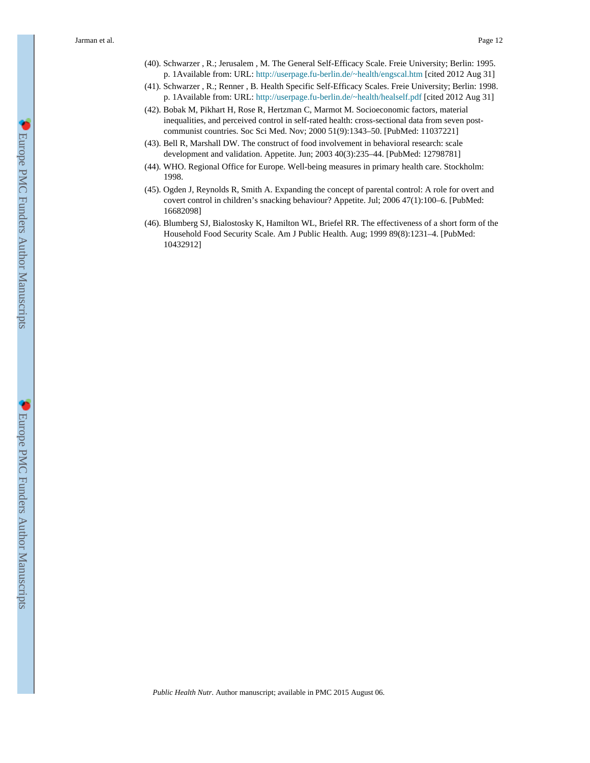- (40). Schwarzer , R.; Jerusalem , M. The General Self-Efficacy Scale. Freie University; Berlin: 1995. p. 1Available from: URL: <http://userpage.fu-berlin.de/~health/engscal.htm>[cited 2012 Aug 31]
- (41). Schwarzer , R.; Renner , B. Health Specific Self-Efficacy Scales. Freie University; Berlin: 1998. p. 1Available from: URL: <http://userpage.fu-berlin.de/~health/healself.pdf>[cited 2012 Aug 31]
- (42). Bobak M, Pikhart H, Rose R, Hertzman C, Marmot M. Socioeconomic factors, material inequalities, and perceived control in self-rated health: cross-sectional data from seven postcommunist countries. Soc Sci Med. Nov; 2000 51(9):1343–50. [PubMed: 11037221]
- (43). Bell R, Marshall DW. The construct of food involvement in behavioral research: scale development and validation. Appetite. Jun; 2003 40(3):235–44. [PubMed: 12798781]
- (44). WHO. Regional Office for Europe. Well-being measures in primary health care. Stockholm: 1998.
- (45). Ogden J, Reynolds R, Smith A. Expanding the concept of parental control: A role for overt and covert control in children's snacking behaviour? Appetite. Jul; 2006 47(1):100–6. [PubMed: 16682098]
- (46). Blumberg SJ, Bialostosky K, Hamilton WL, Briefel RR. The effectiveness of a short form of the Household Food Security Scale. Am J Public Health. Aug; 1999 89(8):1231–4. [PubMed: 10432912]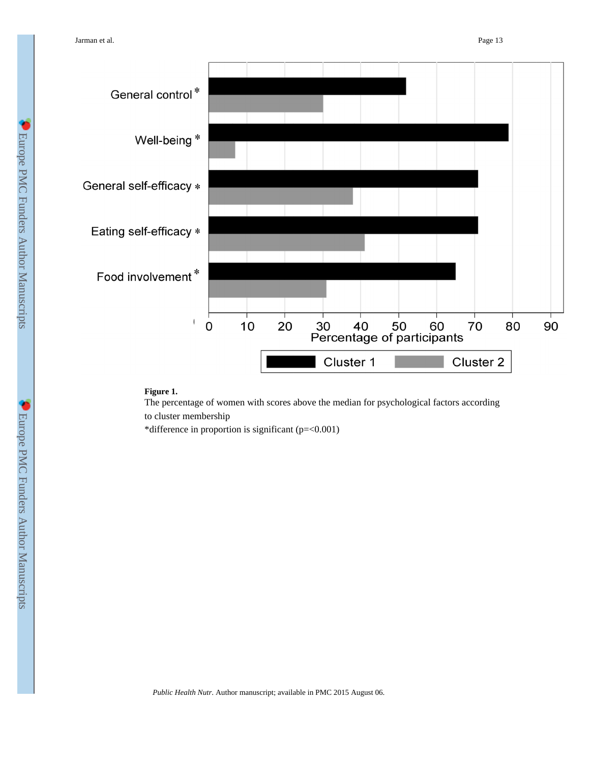

#### **Figure 1.**

The percentage of women with scores above the median for psychological factors according to cluster membership

\*difference in proportion is significant (p=<0.001)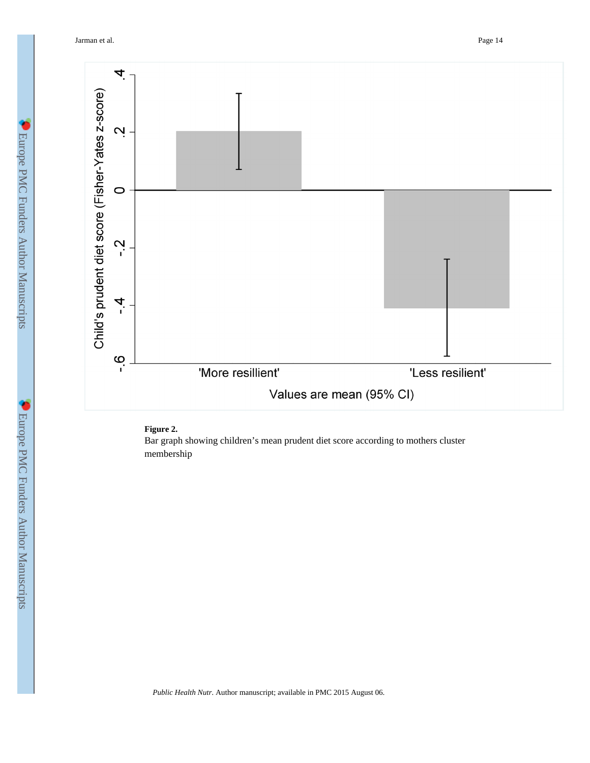Jarman et al. Page 14



# **Figure 2.**

Bar graph showing children's mean prudent diet score according to mothers cluster membership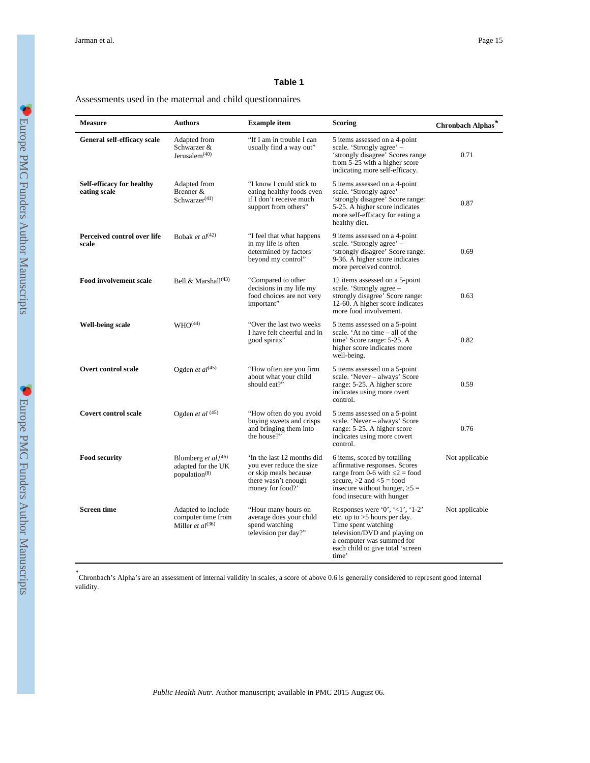## **Table 1**

Assessments used in the maternal and child questionnaires

| <b>Measure</b>                                   | <b>Authors</b>                                                                     | <b>Example item</b>                                                                                                       | <b>Scoring</b>                                                                                                                                                                                                  | Chronbach Alphas <sup>*</sup> |
|--------------------------------------------------|------------------------------------------------------------------------------------|---------------------------------------------------------------------------------------------------------------------------|-----------------------------------------------------------------------------------------------------------------------------------------------------------------------------------------------------------------|-------------------------------|
| General self-efficacy scale                      | Adapted from<br>Schwarzer &<br>Jerusalem $(40)$                                    | "If I am in trouble I can<br>usually find a way out"                                                                      | 5 items assessed on a 4-point<br>scale. 'Strongly agree' -<br>'strongly disagree' Scores range<br>from 5-25 with a higher score<br>indicating more self-efficacy.                                               | 0.71                          |
| <b>Self-efficacy for healthy</b><br>eating scale | Adapted from<br>Brenner &<br>Schwarzer $(41)$                                      | "I know I could stick to<br>eating healthy foods even<br>if I don't receive much<br>support from others"                  | 5 items assessed on a 4-point<br>scale. 'Strongly agree' –<br>'strongly disagree' Score range:<br>5-25. A higher score indicates<br>more self-efficacy for eating a<br>healthy diet.                            | 0.87                          |
| Perceived control over life<br>scale             | Bobak et $al^{(42)}$                                                               | "I feel that what happens<br>in my life is often<br>determined by factors<br>beyond my control"                           | 9 items assessed on a 4-point<br>scale. 'Strongly agree' -<br>'strongly disagree' Score range:<br>9-36. A higher score indicates<br>more perceived control.                                                     | 0.69                          |
| <b>Food involvement scale</b>                    | Bell & Marshall <sup>(43)</sup>                                                    | "Compared to other<br>decisions in my life my<br>food choices are not very<br>important"                                  | 12 items assessed on a 5-point<br>scale. 'Strongly agree –<br>strongly disagree' Score range:<br>12-60. A higher score indicates<br>more food involvement.                                                      | 0.63                          |
| <b>Well-being scale</b>                          | WHO <sup>(44)</sup>                                                                | "Over the last two weeks"<br>I have felt cheerful and in<br>good spirits"                                                 | 5 items assessed on a 5-point<br>scale. 'At no time – all of the<br>time' Score range: 5-25. A<br>higher score indicates more<br>well-being.                                                                    | 0.82                          |
| <b>Overt control scale</b>                       | Ogden <i>et al</i> <sup><math>(45)</math></sup>                                    | "How often are you firm<br>about what your child<br>should eat?"                                                          | 5 items assessed on a 5-point<br>scale. 'Never - always' Score<br>range: 5-25. A higher score<br>indicates using more overt<br>control.                                                                         | 0.59                          |
| <b>Covert control scale</b>                      | Ogden et al $(45)$                                                                 | "How often do you avoid<br>buying sweets and crisps<br>and bringing them into<br>the house?"                              | 5 items assessed on a 5-point<br>scale. 'Never - always' Score<br>range: 5-25. A higher score<br>indicates using more covert<br>control.                                                                        | 0.76                          |
| <b>Food security</b>                             | Blumberg et al, <sup>(46)</sup><br>adapted for the UK<br>population <sup>(8)</sup> | In the last 12 months did<br>you ever reduce the size<br>or skip meals because<br>there wasn't enough<br>money for food?' | 6 items, scored by totalling<br>affirmative responses. Scores<br>range from 0-6 with $2 =$ food<br>secure, $>2$ and $<5$ = food<br>insecure without hunger, $5 =$<br>food insecure with hunger                  | Not applicable                |
| <b>Screen time</b>                               | Adapted to include<br>computer time from<br>Miller <i>et al</i> <sup>(36)</sup>    | "Hour many hours on<br>average does your child<br>spend watching<br>television per day?"                                  | Responses were '0', ' $\langle 1'$ ', '1-2'<br>etc. up to $>5$ hours per day.<br>Time spent watching<br>television/DVD and playing on<br>a computer was summed for<br>each child to give total 'screen<br>time' | Not applicable                |

*\** Chronbach's Alpha's are an assessment of internal validity in scales, a score of above 0.6 is generally considered to represent good internal validity.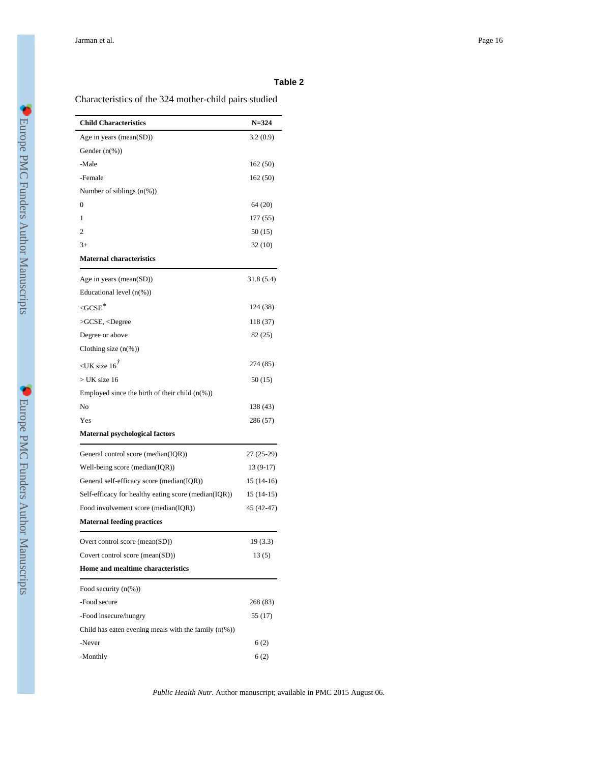## **Table 2**

Characteristics of the 324 mother-child pairs studied

| <b>Child Characteristics</b>                            | $N = 324$   |
|---------------------------------------------------------|-------------|
| Age in years (mean(SD))                                 | 3.2(0.9)    |
| Gender $(n(\%))$                                        |             |
| -Male                                                   | 162 (50)    |
| -Female                                                 | 162 (50)    |
| Number of siblings $(n(\%))$                            |             |
| 0                                                       | 64(20)      |
| 1                                                       | 177 (55)    |
| 2                                                       | 50 (15)     |
| $3+$                                                    | 32 (10)     |
| <b>Maternal characteristics</b>                         |             |
| Age in years (mean(SD))                                 | 31.8(5.4)   |
| Educational level $(n(\%))$                             |             |
| $GCSE^*$                                                | 124 (38)    |
| >GCSE, <degree< td=""><td>118 (37)</td></degree<>       | 118 (37)    |
| Degree or above                                         | 82 (25)     |
| Clothing size $(n\%)$                                   |             |
| UK size $16^{\dot{7}}$                                  | 274 (85)    |
| $>$ UK size 16                                          | 50(15)      |
| Employed since the birth of their child $(n\%)$         |             |
| No                                                      | 138 (43)    |
| Yes                                                     | 286 (57)    |
| <b>Maternal psychological factors</b>                   |             |
| General control score (median(IQR))                     | 27 (25-29)  |
| Well-being score (median(IQR))                          | $13(9-17)$  |
| General self-efficacy score (median(IQR))               | 15 (14-16)  |
| Self-efficacy for healthy eating score (median(IQR))    | $15(14-15)$ |
| Food involvement score (median(IQR))                    | 45 (42-47)  |
| <b>Maternal feeding practices</b>                       |             |
| Overt control score (mean(SD))                          | 19(3.3)     |
| Covert control score (mean(SD))                         | 13(5)       |
| Home and mealtime characteristics                       |             |
| Food security $(n(\%))$                                 |             |
| -Food secure                                            | 268 (83)    |
| -Food insecure/hungry                                   | 55 (17)     |
| Child has eaten evening meals with the family $(n(\%))$ |             |
| -Never                                                  | 6(2)        |
| -Monthly                                                | 6(2)        |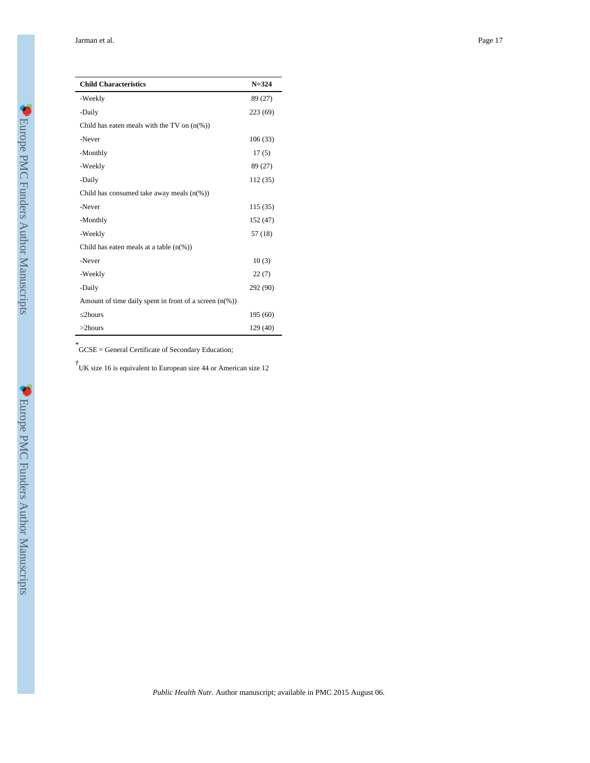| <b>Child Characteristics</b>                              | $N = 324$ |  |
|-----------------------------------------------------------|-----------|--|
| -Weekly                                                   | 89 (27)   |  |
| -Daily                                                    | 223 (69)  |  |
| Child has eaten meals with the TV on $(n\%)$              |           |  |
| -Never                                                    | 106 (33)  |  |
| -Monthly                                                  | 17(5)     |  |
| -Weekly                                                   | 89 (27)   |  |
| -Daily                                                    | 112 (35)  |  |
| Child has consumed take away meals $(n\%)$                |           |  |
| -Never                                                    | 115 (35)  |  |
| -Monthly                                                  | 152 (47)  |  |
| -Weekly                                                   | 57 (18)   |  |
| Child has eaten meals at a table $(n\%)$                  |           |  |
| -Never                                                    | 10(3)     |  |
| -Weekly                                                   | 22(7)     |  |
| -Daily                                                    | 292 (90)  |  |
| Amount of time daily spent in front of a screen $(n(\%))$ |           |  |
| 2hours                                                    | 195 (60)  |  |
| $>2$ hours                                                | 129 (40)  |  |

*\** GCSE = General Certificate of Secondary Education;

*†* UK size 16 is equivalent to European size 44 or American size 12